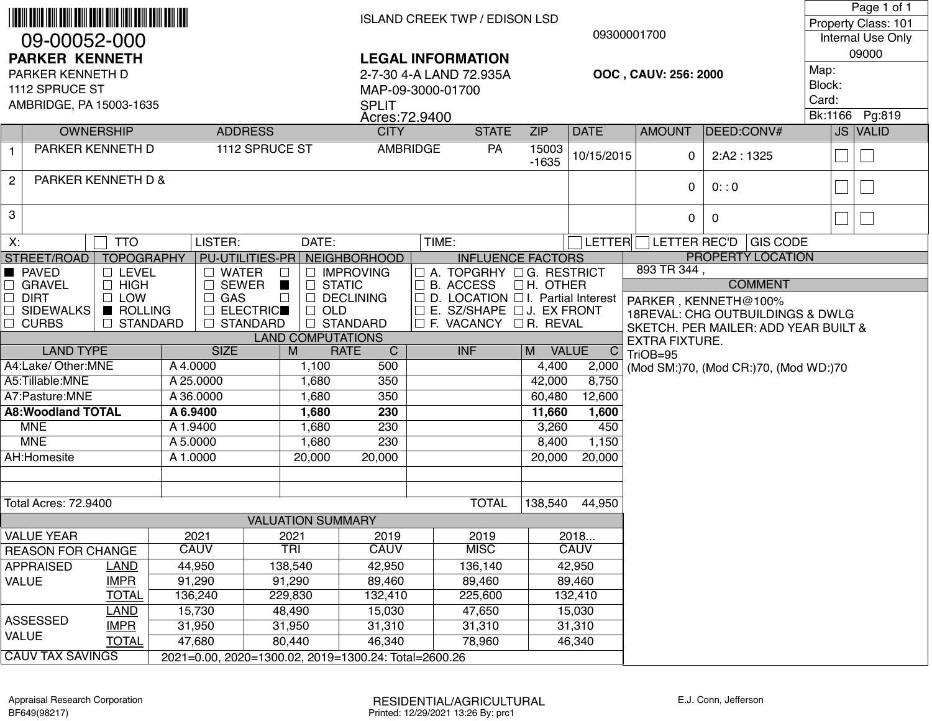| 09-00052-000<br><b>PARKER KENNETH</b>                         |                                                                                                                                                                                                        |                             |                                                      |                   |                                                                                |                             | <b>ISLAND CREEK TWP / EDISON LSD</b><br>09300001700<br><b>LEGAL INFORMATION</b> |                                                                                                                                                                              |                                      |                              |                                                                                           |                      |                                       | Page 1 of 1<br>Property Class: 101<br>Internal Use Only<br>09000 |  |          |  |
|---------------------------------------------------------------|--------------------------------------------------------------------------------------------------------------------------------------------------------------------------------------------------------|-----------------------------|------------------------------------------------------|-------------------|--------------------------------------------------------------------------------|-----------------------------|---------------------------------------------------------------------------------|------------------------------------------------------------------------------------------------------------------------------------------------------------------------------|--------------------------------------|------------------------------|-------------------------------------------------------------------------------------------|----------------------|---------------------------------------|------------------------------------------------------------------|--|----------|--|
| PARKER KENNETH D<br>1112 SPRUCE ST<br>AMBRIDGE, PA 15003-1635 |                                                                                                                                                                                                        |                             |                                                      |                   | 2-7-30 4-A LAND 72.935A<br>MAP-09-3000-01700<br><b>SPLIT</b><br>Acres: 72.9400 |                             |                                                                                 |                                                                                                                                                                              |                                      |                              |                                                                                           | OOC, CAUV: 256: 2000 |                                       | Map:<br>Block:<br>Card:<br>Bk:1166<br>Pg:819                     |  |          |  |
|                                                               |                                                                                                                                                                                                        | <b>OWNERSHIP</b>            |                                                      | <b>ADDRESS</b>    |                                                                                |                             | <b>CITY</b><br><b>STATE</b>                                                     |                                                                                                                                                                              |                                      | <b>DATE</b>                  |                                                                                           | <b>AMOUNT</b>        | DEED:CONV#                            |                                                                  |  | JS VALID |  |
| $\mathbf{1}$                                                  | PARKER KENNETH D<br>1112 SPRUCE ST                                                                                                                                                                     |                             |                                                      |                   | AMBRIDGE                                                                       |                             |                                                                                 | PA                                                                                                                                                                           | <b>ZIP</b><br>15003<br>$-1635$       | 10/15/2015                   | 2:AA2:1325<br>$\Omega$                                                                    |                      |                                       |                                                                  |  |          |  |
| $\overline{c}$                                                | PARKER KENNETH D &                                                                                                                                                                                     |                             |                                                      |                   |                                                                                |                             |                                                                                 |                                                                                                                                                                              |                                      |                              |                                                                                           | 0                    | 0: 0                                  |                                                                  |  |          |  |
| 3                                                             |                                                                                                                                                                                                        |                             |                                                      |                   |                                                                                |                             |                                                                                 |                                                                                                                                                                              |                                      |                              |                                                                                           | 0                    | 0                                     |                                                                  |  | 一        |  |
| X:                                                            |                                                                                                                                                                                                        | <b>TTO</b>                  | LISTER:                                              |                   | DATE:                                                                          |                             |                                                                                 | TIME:                                                                                                                                                                        |                                      | <b>LETTER</b>                |                                                                                           |                      | LETTER REC'D   GIS CODE               |                                                                  |  |          |  |
|                                                               | STREET/ROAD<br>PU-UTILITIES-PR NEIGHBORHOOD<br><b>TOPOGRAPHY</b>                                                                                                                                       |                             |                                                      |                   |                                                                                |                             |                                                                                 | <b>INFLUENCE FACTORS</b>                                                                                                                                                     |                                      | <b>PROPERTY LOCATION</b>     |                                                                                           |                      |                                       |                                                                  |  |          |  |
| $\Box$<br>$\Box$<br>$\Box$                                    | <b>PAVED</b><br>$\Box$ LEVEL<br><b>WATER</b><br><b>GRAVEL</b><br>$\Box$ HIGH<br><b>SEWER</b><br><b>DIRT</b><br>$\Box$ LOW<br>GAS<br>$\Box$<br>ROLLING<br><b>ELECTRIC</b><br><b>SIDEWALKS</b><br>$\Box$ |                             |                                                      |                   | □ IMPROVING<br>$\Box$ STATIC<br>H<br>$\Box$ DECLINING<br>$\Box$<br>$\Box$ OLD  |                             |                                                                                 | $\Box$ A. TOPGRHY $\Box$ G. RESTRICT<br>$\Box$ B. ACCESS<br><b>LH. OTHER</b><br>$\Box$ D. LOCATION $\Box$ I. Partial Interest<br>$\square$ E. SZ/SHAPE $\square$ J. EX FRONT |                                      |                              | 893 TR 344,<br><b>COMMENT</b><br>PARKER, KENNETH@100%<br>18REVAL: CHG OUTBUILDINGS & DWLG |                      |                                       |                                                                  |  |          |  |
|                                                               | $\Box$ CURBS                                                                                                                                                                                           | <b>STANDARD</b><br>$\Box$   |                                                      | <b>STANDARD</b>   |                                                                                | □ STANDARD                  | □ F. VACANCY □ R. REVAL                                                         |                                                                                                                                                                              | SKETCH. PER MAILER: ADD YEAR BUILT & |                              |                                                                                           |                      |                                       |                                                                  |  |          |  |
|                                                               |                                                                                                                                                                                                        |                             |                                                      |                   |                                                                                | <b>LAND COMPUTATIONS</b>    |                                                                                 |                                                                                                                                                                              |                                      | <b>EXTRA FIXTURE.</b>        |                                                                                           |                      |                                       |                                                                  |  |          |  |
|                                                               | <b>LAND TYPE</b><br>A4:Lake/Other:MNE                                                                                                                                                                  |                             | <b>SIZE</b>                                          |                   | M                                                                              | <b>RATE</b><br>$\mathsf{C}$ |                                                                                 | <b>INF</b>                                                                                                                                                                   | M                                    | $\mathsf{C}$<br><b>VALUE</b> |                                                                                           | TriOB=95             |                                       |                                                                  |  |          |  |
|                                                               | A5:Tillable:MNE                                                                                                                                                                                        |                             | A4.0000<br>A 25.0000                                 |                   | 1,100<br>1,680                                                                 | 500<br>350                  |                                                                                 |                                                                                                                                                                              | 4,400<br>42,000                      | 2,000<br>8,750               |                                                                                           |                      | (Mod SM:)70, (Mod CR:)70, (Mod WD:)70 |                                                                  |  |          |  |
|                                                               | A7:Pasture:MNE                                                                                                                                                                                         |                             | A 36.0000                                            |                   | 1,680                                                                          | 350                         |                                                                                 |                                                                                                                                                                              | 60,480                               | 12,600                       |                                                                                           |                      |                                       |                                                                  |  |          |  |
| <b>A8:Woodland TOTAL</b>                                      |                                                                                                                                                                                                        | A 6.9400                    |                                                      | 1,680             | 230                                                                            |                             |                                                                                 | 11,660                                                                                                                                                                       | 1,600                                |                              |                                                                                           |                      |                                       |                                                                  |  |          |  |
|                                                               | <b>MNE</b>                                                                                                                                                                                             |                             | A 1.9400                                             |                   | 1,680                                                                          | 230                         |                                                                                 |                                                                                                                                                                              | 3,260                                | 450                          |                                                                                           |                      |                                       |                                                                  |  |          |  |
|                                                               | <b>MNE</b>                                                                                                                                                                                             |                             | A 5.0000                                             |                   | 1,680                                                                          | 230                         |                                                                                 |                                                                                                                                                                              | 8,400                                | 1,150                        |                                                                                           |                      |                                       |                                                                  |  |          |  |
|                                                               | AH:Homesite                                                                                                                                                                                            |                             | A 1.0000                                             |                   | 20,000                                                                         | 20,000                      |                                                                                 |                                                                                                                                                                              | 20,000                               | 20,000                       |                                                                                           |                      |                                       |                                                                  |  |          |  |
|                                                               |                                                                                                                                                                                                        |                             |                                                      |                   |                                                                                |                             |                                                                                 |                                                                                                                                                                              |                                      |                              |                                                                                           |                      |                                       |                                                                  |  |          |  |
|                                                               |                                                                                                                                                                                                        |                             |                                                      |                   |                                                                                |                             |                                                                                 |                                                                                                                                                                              |                                      |                              |                                                                                           |                      |                                       |                                                                  |  |          |  |
|                                                               | <b>Total Acres: 72.9400</b>                                                                                                                                                                            |                             |                                                      |                   |                                                                                |                             |                                                                                 | <b>TOTAL</b>                                                                                                                                                                 | 138,540                              | 44,950                       |                                                                                           |                      |                                       |                                                                  |  |          |  |
|                                                               |                                                                                                                                                                                                        |                             |                                                      |                   | <b>VALUATION SUMMARY</b>                                                       |                             |                                                                                 |                                                                                                                                                                              |                                      |                              |                                                                                           |                      |                                       |                                                                  |  |          |  |
|                                                               | <b>VALUE YEAR</b>                                                                                                                                                                                      |                             | 2021                                                 |                   | 2021                                                                           | 2019                        |                                                                                 | 2019                                                                                                                                                                         |                                      | 2018                         |                                                                                           |                      |                                       |                                                                  |  |          |  |
|                                                               | <b>REASON FOR CHANGE</b>                                                                                                                                                                               |                             | <b>CAUV</b>                                          |                   | <b>TRI</b>                                                                     | <b>CAUV</b>                 |                                                                                 | <b>MISC</b>                                                                                                                                                                  |                                      | <b>CAUV</b>                  |                                                                                           |                      |                                       |                                                                  |  |          |  |
|                                                               | <b>APPRAISED</b>                                                                                                                                                                                       | <b>LAND</b>                 | 44,950                                               |                   | 138,540                                                                        | 42,950                      |                                                                                 | 136,140                                                                                                                                                                      |                                      | 42,950                       |                                                                                           |                      |                                       |                                                                  |  |          |  |
|                                                               | <b>VALUE</b>                                                                                                                                                                                           | <b>IMPR</b><br><b>TOTAL</b> | 91,290                                               | 91,290<br>229,830 |                                                                                | 89,460                      |                                                                                 | 89,460                                                                                                                                                                       |                                      | 89,460<br>132,410            |                                                                                           |                      |                                       |                                                                  |  |          |  |
|                                                               |                                                                                                                                                                                                        | <b>LAND</b>                 | 136,240<br>15,730                                    |                   | 48,490                                                                         | 132,410<br>15,030           |                                                                                 | 225,600<br>47,650                                                                                                                                                            |                                      | 15,030                       |                                                                                           |                      |                                       |                                                                  |  |          |  |
|                                                               | <b>ASSESSED</b>                                                                                                                                                                                        | <b>IMPR</b>                 | 31,950                                               |                   | 31,950                                                                         | 31,310                      |                                                                                 | 31,310                                                                                                                                                                       |                                      | 31,310                       |                                                                                           |                      |                                       |                                                                  |  |          |  |
|                                                               | <b>VALUE</b>                                                                                                                                                                                           | <b>TOTAL</b>                | 47,680                                               |                   | 80,440                                                                         | 46,340                      |                                                                                 | 78,960                                                                                                                                                                       |                                      | 46,340                       |                                                                                           |                      |                                       |                                                                  |  |          |  |
|                                                               | <b>CAUV TAX SAVINGS</b>                                                                                                                                                                                |                             | 2021=0.00, 2020=1300.02, 2019=1300.24: Total=2600.26 |                   |                                                                                |                             |                                                                                 |                                                                                                                                                                              |                                      |                              |                                                                                           |                      |                                       |                                                                  |  |          |  |
|                                                               |                                                                                                                                                                                                        |                             |                                                      |                   |                                                                                |                             |                                                                                 |                                                                                                                                                                              |                                      |                              |                                                                                           |                      |                                       |                                                                  |  |          |  |